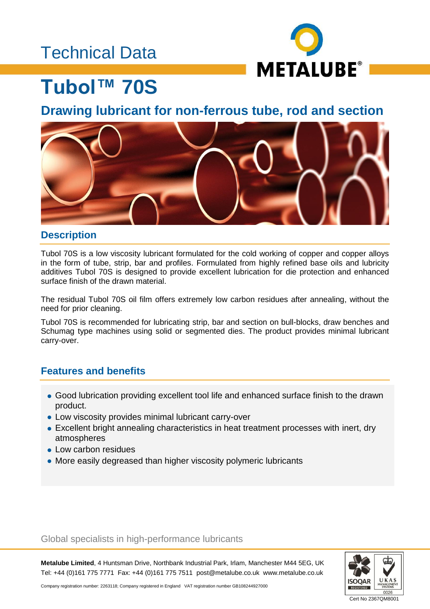## Technical Data



# **Tubol™ 70S**

**Drawing lubricant for non-ferrous tube, rod and section**



### **Description**

Tubol 70S is a low viscosity lubricant formulated for the cold working of copper and copper alloys in the form of tube, strip, bar and profiles. Formulated from highly refined base oils and lubricity additives Tubol 70S is designed to provide excellent lubrication for die protection and enhanced surface finish of the drawn material.

The residual Tubol 70S oil film offers extremely low carbon residues after annealing, without the need for prior cleaning.

Tubol 70S is recommended for lubricating strip, bar and section on bull-blocks, draw benches and Schumag type machines using solid or segmented dies. The product provides minimal lubricant carry-over.

### **Features and benefits**

- Good lubrication providing excellent tool life and enhanced surface finish to the drawn product.
- Low viscosity provides minimal lubricant carry-over
- Excellent bright annealing characteristics in heat treatment processes with inert, dry atmospheres
- Low carbon residues
- More easily degreased than higher viscosity polymeric lubricants

#### Global specialists in high-performance lubricants

**Metalube Limited**, 4 Huntsman Drive, Northbank Industrial Park, Irlam, Manchester M44 5EG, UK Tel: +44 (0)161 775 7771 Fax: +44 (0)161 775 7511 post@metalube.co.uk www.metalube.co.uk



Company registration number: 2263118; Company registered in England VAT registration number GB108244927000